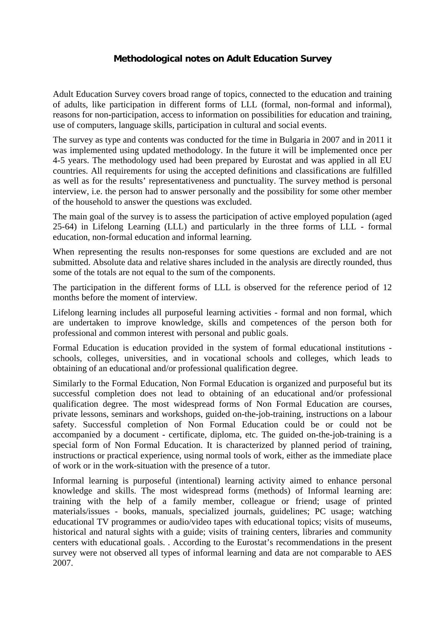## **Methodological notes on Adult Education Survey**

Adult Education Survey covers broad range of topics, connected to the education and training of adults, like participation in different forms of LLL (formal, non-formal and informal), reasons for non-participation, access to information on possibilities for education and training, use of computers, language skills, participation in cultural and social events.

The survey as type and contents was conducted for the time in Bulgaria in 2007 and in 2011 it was implemented using updated methodology. In the future it will be implemented once per 4-5 years. The methodology used had been prepared by Eurostat and was applied in all EU countries. All requirements for using the accepted definitions and classifications are fulfilled as well as for the results' representativeness and punctuality. The survey method is personal interview, i.e. the person had to answer personally and the possibility for some other member of the household to answer the questions was excluded.

The main goal of the survey is to assess the participation of active employed population (aged 25-64) in Lifelong Learning (LLL) and particularly in the three forms of LLL - formal education, non-formal education and informal learning.

When representing the results non-responses for some questions are excluded and are not submitted. Absolute data and relative shares included in the analysis are directly rounded, thus some of the totals are not equal to the sum of the components.

The participation in the different forms of LLL is observed for the reference period of 12 months before the moment of interview.

Lifelong learning includes all purposeful learning activities - formal and non formal, which are undertaken to improve knowledge, skills and competences of the person both for professional and common interest with personal and public goals.

Formal Education is education provided in the system of formal educational institutions schools, colleges, universities, and in vocational schools and colleges, which leads to obtaining of an educational and/or professional qualification degree.

Similarly to the Formal Education, Non Formal Education is organized and purposeful but its successful completion does not lead to obtaining of an educational and/or professional qualification degree. The most widespread forms of Non Formal Education are courses, private lessons, seminars and workshops, guided on-the-job-training, instructions on a labour safety. Successful completion of Non Formal Education could be or could not be accompanied by a document - certificate, diploma, etc. The guided on-the-job-training is a special form of Non Formal Education. It is characterized by planned period of training, instructions or practical experience, using normal tools of work, either as the immediate place of work or in the work-situation with the presence of a tutor.

Informal learning is purposeful (intentional) learning activity aimed to enhance personal knowledge and skills. The most widespread forms (methods) of Informal learning are: training with the help of a family member, colleague or friend; usage of printed materials/issues - books, manuals, specialized journals, guidelines; PC usage; watching educational TV programmes or audio/video tapes with educational topics; visits of museums, historical and natural sights with a guide; visits of training centers, libraries and community centers with educational goals. . According to the Eurostat's recommendations in the present survey were not observed all types of informal learning and data are not comparable to AES 2007.